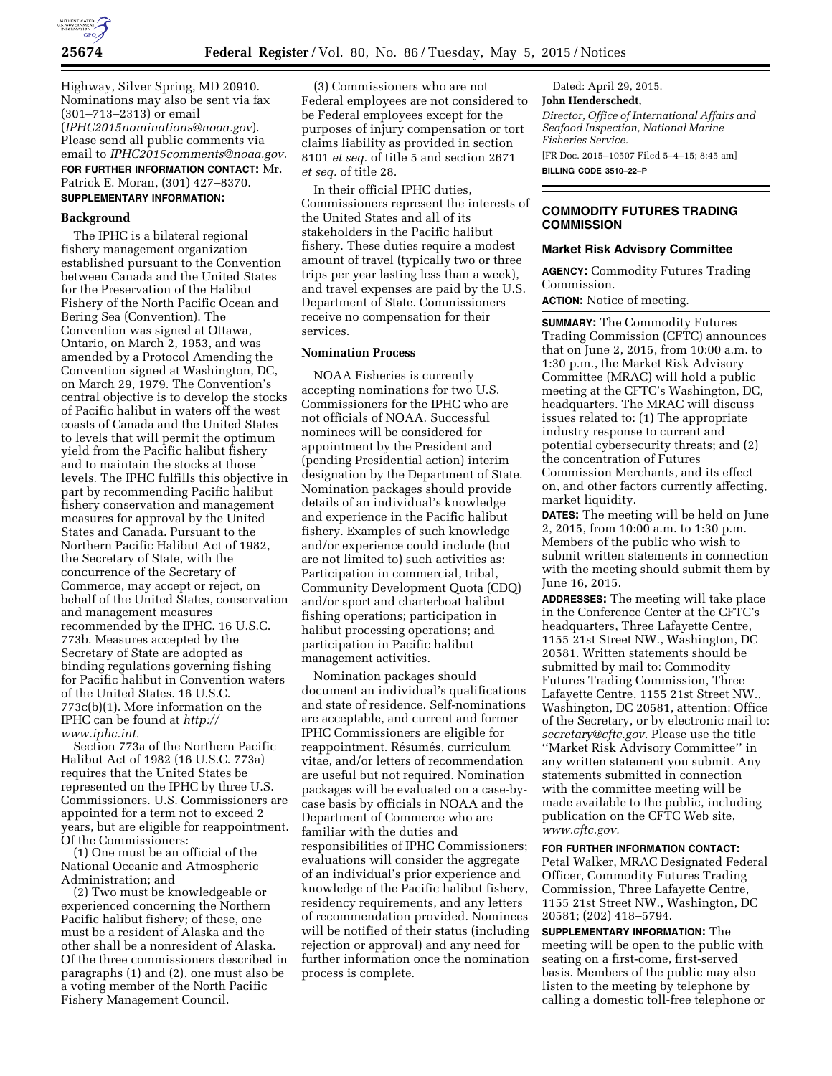

Highway, Silver Spring, MD 20910. Nominations may also be sent via fax (301–713–2313) or email (*[IPHC2015nominations@noaa.gov](mailto:IPHC2015nominations@noaa.gov)*). Please send all public comments via email to *[IPHC2015comments@noaa.gov.](mailto:IPHC2015comments@noaa.gov)*  **FOR FURTHER INFORMATION CONTACT:** Mr. Patrick E. Moran, (301) 427–8370.

# **SUPPLEMENTARY INFORMATION:**

## **Background**

The IPHC is a bilateral regional fishery management organization established pursuant to the Convention between Canada and the United States for the Preservation of the Halibut Fishery of the North Pacific Ocean and Bering Sea (Convention). The Convention was signed at Ottawa, Ontario, on March 2, 1953, and was amended by a Protocol Amending the Convention signed at Washington, DC, on March 29, 1979. The Convention's central objective is to develop the stocks of Pacific halibut in waters off the west coasts of Canada and the United States to levels that will permit the optimum yield from the Pacific halibut fishery and to maintain the stocks at those levels. The IPHC fulfills this objective in part by recommending Pacific halibut fishery conservation and management measures for approval by the United States and Canada. Pursuant to the Northern Pacific Halibut Act of 1982, the Secretary of State, with the concurrence of the Secretary of Commerce, may accept or reject, on behalf of the United States, conservation and management measures recommended by the IPHC. 16 U.S.C. 773b. Measures accepted by the Secretary of State are adopted as binding regulations governing fishing for Pacific halibut in Convention waters of the United States. 16 U.S.C. 773c(b)(1). More information on the IPHC can be found at *[http://](http://www.iphc.int) [www.iphc.int.](http://www.iphc.int)* 

Section 773a of the Northern Pacific Halibut Act of 1982 (16 U.S.C. 773a) requires that the United States be represented on the IPHC by three U.S. Commissioners. U.S. Commissioners are appointed for a term not to exceed 2 years, but are eligible for reappointment. Of the Commissioners:

(1) One must be an official of the National Oceanic and Atmospheric Administration; and

(2) Two must be knowledgeable or experienced concerning the Northern Pacific halibut fishery; of these, one must be a resident of Alaska and the other shall be a nonresident of Alaska. Of the three commissioners described in paragraphs (1) and (2), one must also be a voting member of the North Pacific Fishery Management Council.

(3) Commissioners who are not Federal employees are not considered to be Federal employees except for the purposes of injury compensation or tort claims liability as provided in section 8101 *et seq.* of title 5 and section 2671 *et seq.* of title 28.

In their official IPHC duties, Commissioners represent the interests of the United States and all of its stakeholders in the Pacific halibut fishery. These duties require a modest amount of travel (typically two or three trips per year lasting less than a week), and travel expenses are paid by the U.S. Department of State. Commissioners receive no compensation for their services.

## **Nomination Process**

NOAA Fisheries is currently accepting nominations for two U.S. Commissioners for the IPHC who are not officials of NOAA. Successful nominees will be considered for appointment by the President and (pending Presidential action) interim designation by the Department of State. Nomination packages should provide details of an individual's knowledge and experience in the Pacific halibut fishery. Examples of such knowledge and/or experience could include (but are not limited to) such activities as: Participation in commercial, tribal, Community Development Quota (CDQ) and/or sport and charterboat halibut fishing operations; participation in halibut processing operations; and participation in Pacific halibut management activities.

Nomination packages should document an individual's qualifications and state of residence. Self-nominations are acceptable, and current and former IPHC Commissioners are eligible for reappointment. Résumés, curriculum vitae, and/or letters of recommendation are useful but not required. Nomination packages will be evaluated on a case-bycase basis by officials in NOAA and the Department of Commerce who are familiar with the duties and responsibilities of IPHC Commissioners; evaluations will consider the aggregate of an individual's prior experience and knowledge of the Pacific halibut fishery, residency requirements, and any letters of recommendation provided. Nominees will be notified of their status (including rejection or approval) and any need for further information once the nomination process is complete.

Dated: April 29, 2015. **John Henderschedt,**  *Director, Office of International Affairs and Seafood Inspection, National Marine Fisheries Service.*  [FR Doc. 2015–10507 Filed 5–4–15; 8:45 am] **BILLING CODE 3510–22–P** 

## **COMMODITY FUTURES TRADING COMMISSION**

#### **Market Risk Advisory Committee**

**AGENCY:** Commodity Futures Trading Commission.

**ACTION:** Notice of meeting.

**SUMMARY:** The Commodity Futures Trading Commission (CFTC) announces that on June 2, 2015, from 10:00 a.m. to 1:30 p.m., the Market Risk Advisory Committee (MRAC) will hold a public meeting at the CFTC's Washington, DC, headquarters. The MRAC will discuss issues related to: (1) The appropriate industry response to current and potential cybersecurity threats; and (2) the concentration of Futures Commission Merchants, and its effect on, and other factors currently affecting, market liquidity.

**DATES:** The meeting will be held on June 2, 2015, from 10:00 a.m. to 1:30 p.m. Members of the public who wish to submit written statements in connection with the meeting should submit them by June 16, 2015.

**ADDRESSES:** The meeting will take place in the Conference Center at the CFTC's headquarters, Three Lafayette Centre, 1155 21st Street NW., Washington, DC 20581. Written statements should be submitted by mail to: Commodity Futures Trading Commission, Three Lafayette Centre, 1155 21st Street NW., Washington, DC 20581, attention: Office of the Secretary, or by electronic mail to: *[secretary@cftc.gov.](mailto:secretary@cftc.gov)* Please use the title ''Market Risk Advisory Committee'' in any written statement you submit. Any statements submitted in connection with the committee meeting will be made available to the public, including publication on the CFTC Web site, *[www.cftc.gov.](http://www.cftc.gov)* 

#### **FOR FURTHER INFORMATION CONTACT:**

Petal Walker, MRAC Designated Federal Officer, Commodity Futures Trading Commission, Three Lafayette Centre, 1155 21st Street NW., Washington, DC 20581; (202) 418–5794.

**SUPPLEMENTARY INFORMATION:** The meeting will be open to the public with seating on a first-come, first-served basis. Members of the public may also listen to the meeting by telephone by calling a domestic toll-free telephone or